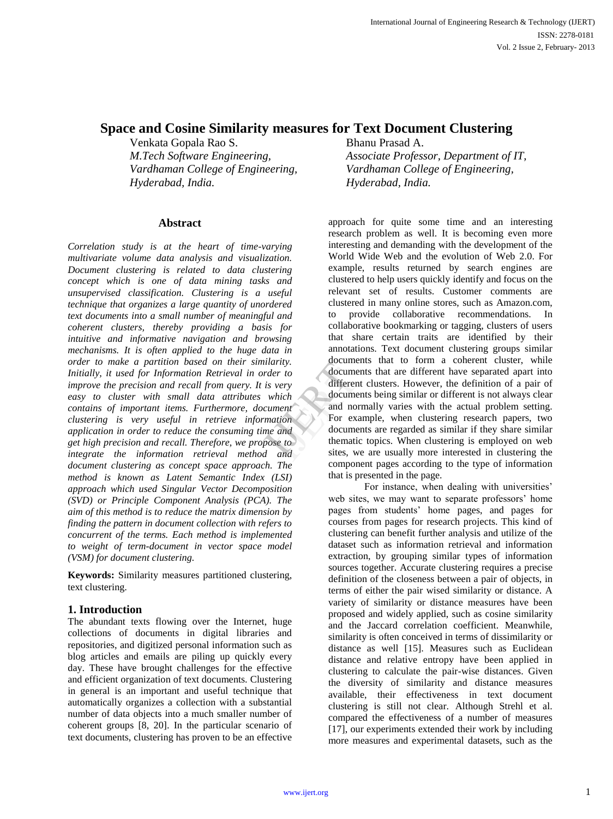# **Space and Cosine Similarity measures for Text Document Clustering**

Venkata Gopala Rao S. Bhanu Prasad A. *Hyderabad, India. Hyderabad, India.*

## **Abstract**

*Correlation study is at the heart of time-varying multivariate volume data analysis and visualization. Document clustering is related to data clustering concept which is one of data mining tasks and unsupervised classification. Clustering is a useful technique that organizes a large quantity of unordered text documents into a small number of meaningful and coherent clusters, thereby providing a basis for intuitive and informative navigation and browsing mechanisms. It is often applied to the huge data in order to make a partition based on their similarity. Initially, it used for Information Retrieval in order to improve the precision and recall from query. It is very easy to cluster with small data attributes which contains of important items. Furthermore, document clustering is very useful in retrieve information application in order to reduce the consuming time and get high precision and recall. Therefore, we propose to integrate the information retrieval method and document clustering as concept space approach. The method is known as Latent Semantic Index (LSI) approach which used Singular Vector Decomposition (SVD) or Principle Component Analysis (PCA). The aim of this method is to reduce the matrix dimension by finding the pattern in document collection with refers to concurrent of the terms. Each method is implemented to weight of term-document in vector space model (VSM) for document clustering.*

**Keywords:** Similarity measures partitioned clustering, text clustering.

# **1. Introduction**

The abundant texts flowing over the Internet, huge collections of documents in digital libraries and repositories, and digitized personal information such as blog articles and emails are piling up quickly every day. These have brought challenges for the effective and efficient organization of text documents. Clustering in general is an important and useful technique that automatically organizes a collection with a substantial number of data objects into a much smaller number of coherent groups [8, 20]. In the particular scenario of text documents, clustering has proven to be an effective

*M.Tech Software Engineering, Associate Professor, Department of IT, Vardhaman College of Engineering, Vardhaman College of Engineering,*

> approach for quite some time and an interesting research problem as well. It is becoming even more interesting and demanding with the development of the World Wide Web and the evolution of Web 2.0. For example, results returned by search engines are clustered to help users quickly identify and focus on the relevant set of results. Customer comments are clustered in many online stores, such as Amazon.com, to provide collaborative recommendations. In collaborative bookmarking or tagging, clusters of users that share certain traits are identified by their annotations. Text document clustering groups similar documents that to form a coherent cluster, while documents that are different have separated apart into different clusters. However, the definition of a pair of documents being similar or different is not always clear and normally varies with the actual problem setting. For example, when clustering research papers, two documents are regarded as similar if they share similar thematic topics. When clustering is employed on web sites, we are usually more interested in clustering the component pages according to the type of information that is presented in the page. er to<br>
> very<br>
> differen<br>
> which<br>
> docume<br>
> ment<br>
> and<br>
> and<br>
> docume<br>
> themati<br>
> and<br>
> sites, w<br>
> docume<br>
> themati<br>
> sites, w

For instance, when dealing with universities' web sites, we may want to separate professors' home pages from students' home pages, and pages for courses from pages for research projects. This kind of clustering can benefit further analysis and utilize of the dataset such as information retrieval and information extraction, by grouping similar types of information sources together. Accurate clustering requires a precise definition of the closeness between a pair of objects, in terms of either the pair wised similarity or distance. A variety of similarity or distance measures have been proposed and widely applied, such as cosine similarity and the Jaccard correlation coefficient. Meanwhile, similarity is often conceived in terms of dissimilarity or distance as well [15]. Measures such as Euclidean distance and relative entropy have been applied in clustering to calculate the pair-wise distances. Given the diversity of similarity and distance measures available, their effectiveness in text document clustering is still not clear. Although Strehl et al. compared the effectiveness of a number of measures [17], our experiments extended their work by including more measures and experimental datasets, such as the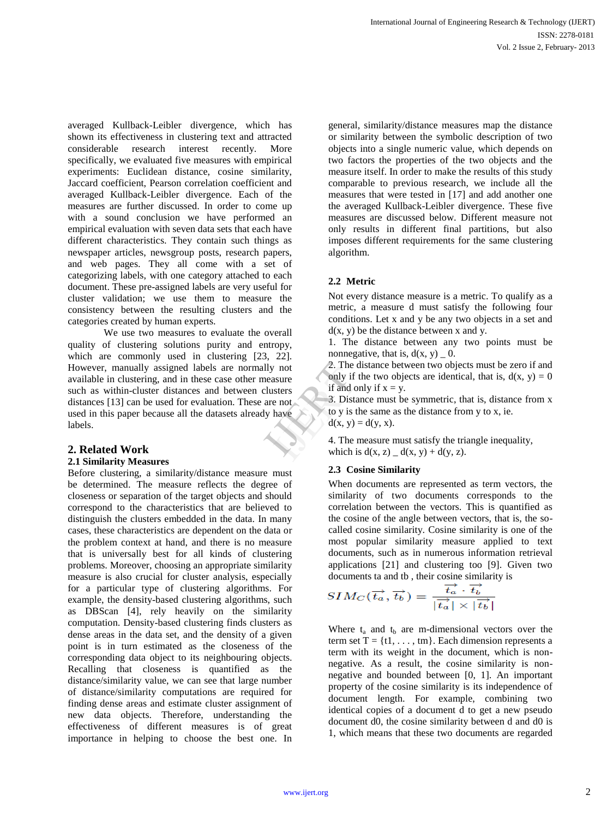averaged Kullback-Leibler divergence, which has shown its effectiveness in clustering text and attracted considerable research interest recently. More specifically, we evaluated five measures with empirical experiments: Euclidean distance, cosine similarity, Jaccard coefficient, Pearson correlation coefficient and averaged Kullback-Leibler divergence. Each of the measures are further discussed. In order to come up with a sound conclusion we have performed an empirical evaluation with seven data sets that each have different characteristics. They contain such things as newspaper articles, newsgroup posts, research papers, and web pages. They all come with a set of categorizing labels, with one category attached to each document. These pre-assigned labels are very useful for cluster validation; we use them to measure the consistency between the resulting clusters and the categories created by human experts.

We use two measures to evaluate the overall quality of clustering solutions purity and entropy, which are commonly used in clustering [23, 22]. However, manually assigned labels are normally not available in clustering, and in these case other measure such as within-cluster distances and between clusters distances [13] can be used for evaluation. These are not used in this paper because all the datasets already have labels. Fraction<br>
Summary only if<br>
thave<br>  $\begin{array}{r}\n\text{1} & \text{2} \\
\text{1} & \text{3} \\
\text{2} & \text{4} \\
\text{3} & \text{5} \\
\text{4} & \text{6} \\
\text{5} & \text{6} \\
\text{6} & \text{7}\n\end{array}$ 

# **2. Related Work**

#### **2.1 Similarity Measures**

Before clustering, a similarity/distance measure must be determined. The measure reflects the degree of closeness or separation of the target objects and should correspond to the characteristics that are believed to distinguish the clusters embedded in the data. In many cases, these characteristics are dependent on the data or the problem context at hand, and there is no measure that is universally best for all kinds of clustering problems. Moreover, choosing an appropriate similarity measure is also crucial for cluster analysis, especially for a particular type of clustering algorithms. For example, the density-based clustering algorithms, such as DBScan [4], rely heavily on the similarity computation. Density-based clustering finds clusters as dense areas in the data set, and the density of a given point is in turn estimated as the closeness of the corresponding data object to its neighbouring objects. Recalling that closeness is quantified as the distance/similarity value, we can see that large number of distance/similarity computations are required for finding dense areas and estimate cluster assignment of new data objects. Therefore, understanding the effectiveness of different measures is of great importance in helping to choose the best one. In

general, similarity/distance measures map the distance or similarity between the symbolic description of two objects into a single numeric value, which depends on two factors the properties of the two objects and the measure itself. In order to make the results of this study comparable to previous research, we include all the measures that were tested in [17] and add another one the averaged Kullback-Leibler divergence. These five measures are discussed below. Different measure not only results in different final partitions, but also imposes different requirements for the same clustering algorithm.

## **2.2 Metric**

Not every distance measure is a metric. To qualify as a metric, a measure d must satisfy the following four conditions. Let x and y be any two objects in a set and  $d(x, y)$  be the distance between x and y.

1. The distance between any two points must be nonnegative, that is,  $d(x, y) = 0$ .

2. The distance between two objects must be zero if and only if the two objects are identical, that is,  $d(x, y) = 0$ if and only if  $x = y$ .

3. Distance must be symmetric, that is, distance from x to y is the same as the distance from y to x, ie.  $d(x, y) = d(y, x)$ .

4. The measure must satisfy the triangle inequality, which is  $d(x, z) = d(x, y) + d(y, z)$ .

## **2.3 Cosine Similarity**

When documents are represented as term vectors, the similarity of two documents corresponds to the correlation between the vectors. This is quantified as the cosine of the angle between vectors, that is, the socalled cosine similarity. Cosine similarity is one of the most popular similarity measure applied to text documents, such as in numerous information retrieval applications [21] and clustering too [9]. Given two documents ta and tb , their cosine similarity is

$$
SIM_C(\overrightarrow{t_a}, \overrightarrow{t_b}) = \frac{\overrightarrow{t_a} \cdot \overrightarrow{t_b}}{|\overrightarrow{t_a}| \times |\overrightarrow{t_b}|}
$$

Where  $t_a$  and  $t_b$  are m-dimensional vectors over the term set  $T = \{t1, \ldots, tm\}$ . Each dimension represents a term with its weight in the document, which is nonnegative. As a result, the cosine similarity is nonnegative and bounded between [0, 1]. An important property of the cosine similarity is its independence of document length. For example, combining two identical copies of a document d to get a new pseudo document d0, the cosine similarity between d and d0 is 1, which means that these two documents are regarded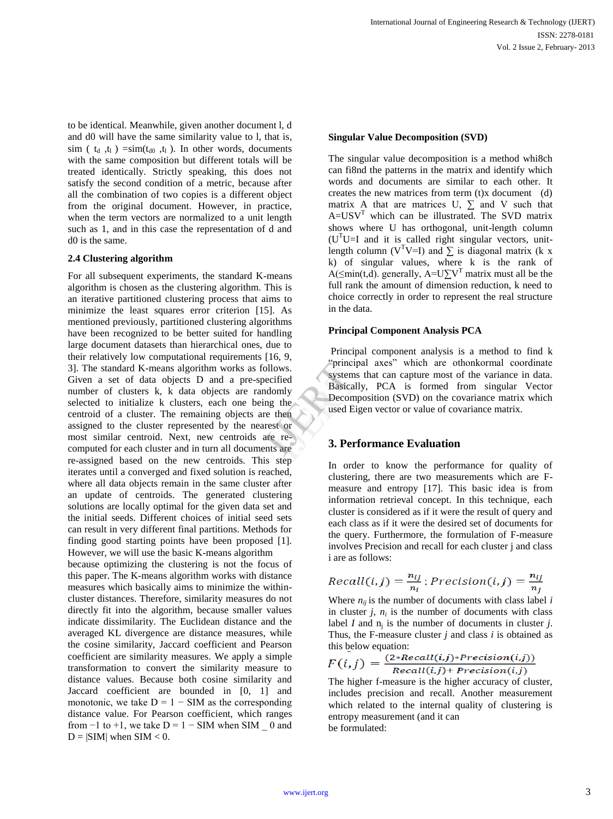to be identical. Meanwhile, given another document l, d and d0 will have the same similarity value to l, that is, sim ( $t_d$ , $t_l$ ) =sim( $t_{d0}$ , $t_l$ ). In other words, documents with the same composition but different totals will be treated identically. Strictly speaking, this does not satisfy the second condition of a metric, because after all the combination of two copies is a different object from the original document. However, in practice, when the term vectors are normalized to a unit length such as 1, and in this case the representation of d and d0 is the same.

#### **2.4 Clustering algorithm**

For all subsequent experiments, the standard K-means algorithm is chosen as the clustering algorithm. This is an iterative partitioned clustering process that aims to minimize the least squares error criterion [15]. As mentioned previously, partitioned clustering algorithms have been recognized to be better suited for handling large document datasets than hierarchical ones, due to their relatively low computational requirements [16, 9, 3]. The standard K-means algorithm works as follows. Given a set of data objects D and a pre-specified number of clusters k, k data objects are randomly selected to initialize k clusters, each one being the centroid of a cluster. The remaining objects are then assigned to the cluster represented by the nearest or most similar centroid. Next, new centroids are recomputed for each cluster and in turn all documents are re-assigned based on the new centroids. This step iterates until a converged and fixed solution is reached, where all data objects remain in the same cluster after an update of centroids. The generated clustering solutions are locally optimal for the given data set and the initial seeds. Different choices of initial seed sets can result in very different final partitions. Methods for finding good starting points have been proposed [1]. However, we will use the basic K-means algorithm ows.<br>
iffied<br>
omly<br>
iffied<br>
Decompused Ei<br>
then<br>
st or<br>
sare<br>
Sare<br>
Sare<br>
Sare<br>
Sare<br>
Sare<br>
Sare<br>
Sare<br>
Sare<br>
Sare<br>
Becompused Ei<br>  $\frac{1}{2}$ <br>
Decompused Ei<br>  $\frac{1}{2}$ <br>  $\frac{1}{2}$ <br>  $\frac{1}{2}$ <br>  $\frac{1}{2}$ <br>  $\frac{1}{2}$ <br>  $\frac{1}{2}$ <br>

because optimizing the clustering is not the focus of this paper. The K-means algorithm works with distance measures which basically aims to minimize the withincluster distances. Therefore, similarity measures do not directly fit into the algorithm, because smaller values indicate dissimilarity. The Euclidean distance and the averaged KL divergence are distance measures, while the cosine similarity, Jaccard coefficient and Pearson coefficient are similarity measures. We apply a simple transformation to convert the similarity measure to distance values. Because both cosine similarity and Jaccard coefficient are bounded in [0, 1] and monotonic, we take  $D = 1 - SIM$  as the corresponding distance value. For Pearson coefficient, which ranges from  $-1$  to  $+1$ , we take  $D = 1 - SIM$  when SIM  $\_ 0$  and  $D = |SIM|$  when  $SIM < 0$ .

#### **Singular Value Decomposition (SVD)**

The singular value decomposition is a method whi8ch can fi8nd the patterns in the matrix and identify which words and documents are similar to each other. It creates the new matrices from term (t)x document (d) matrix A that are matrices U,  $\Sigma$  and V such that  $A=USV<sup>T</sup>$  which can be illustrated. The SVD matrix shows where U has orthogonal, unit-length column  $(U<sup>T</sup>U=I$  and it is called right singular vectors, unitlength column (V<sup>T</sup>V=I) and  $\Sigma$  is diagonal matrix (k x k) of singular values, where k is the rank of A( $\leq$ min(t,d). generally, A=U $\sum V^T$  matrix must all be the full rank the amount of dimension reduction, k need to choice correctly in order to represent the real structure in the data.

#### **Principal Component Analysis PCA**

Principal component analysis is a method to find k ―principal axes‖ which are othonkormal coordinate systems that can capture most of the variance in data. Basically, PCA is formed from singular Vector Decomposition (SVD) on the covariance matrix which used Eigen vector or value of covariance matrix.

#### **3. Performance Evaluation**

In order to know the performance for quality of clustering, there are two measurements which are Fmeasure and entropy [17]. This basic idea is from information retrieval concept. In this technique, each cluster is considered as if it were the result of query and each class as if it were the desired set of documents for the query. Furthermore, the formulation of F-measure involves Precision and recall for each cluster j and class i are as follows:

$$
Recall(i, j) = \frac{n_{ij}}{n_i}; Precision(i, j) = \frac{n_{ij}}{n_j}
$$

Where  $n_{ii}$  is the number of documents with class label *i* in cluster  $j$ ,  $n_i$  is the number of documents with class label *I* and  $n_j$  is the number of documents in cluster *j*. Thus, the F-measure cluster *j* and class *i* is obtained as this below equation:

$$
F(i,j) = \frac{(2 * Recall(i,j) * Precision(i,j))}{Recall(i,j) + Precision(i,j)}
$$

The higher f-measure is the higher accuracy of cluster, includes precision and recall. Another measurement which related to the internal quality of clustering is entropy measurement (and it can be formulated: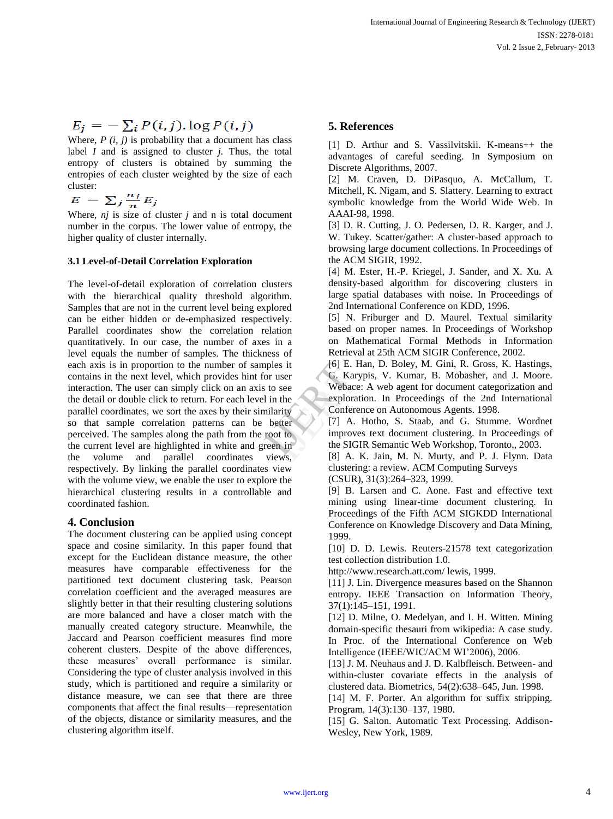# $E_j = -\sum_i P(i, j) \cdot \log P(i, j)$

Where,  $P(i, j)$  is probability that a document has class label *I* and is assigned to cluster *j.* Thus, the total entropy of clusters is obtained by summing the entropies of each cluster weighted by the size of each cluster:

$$
E = \sum_j \frac{n_j}{n} E_j
$$

Where, *nj* is size of cluster *j* and n is total document number in the corpus. The lower value of entropy, the higher quality of cluster internally.

### **3.1 Level-of-Detail Correlation Exploration**

The level-of-detail exploration of correlation clusters with the hierarchical quality threshold algorithm. Samples that are not in the current level being explored can be either hidden or de-emphasized respectively. Parallel coordinates show the correlation relation quantitatively. In our case, the number of axes in a level equals the number of samples. The thickness of each axis is in proportion to the number of samples it contains in the next level, which provides hint for user interaction. The user can simply click on an axis to see the detail or double click to return. For each level in the parallel coordinates, we sort the axes by their similarity so that sample correlation patterns can be better perceived. The samples along the path from the root to the current level are highlighted in white and green in the volume and parallel coordinates views, respectively. By linking the parallel coordinates view with the volume view, we enable the user to explore the hierarchical clustering results in a controllable and coordinated fashion. Example 1<br>
USE COMPOSE COMPANY<br>
In the SIGN Conference<br>
Setter 17 A.<br>
The SIGN CONFINENT CONFIDENT CONFIDENT CONTENT CONTENT OF THE SIGN CONTENT OF THE SIGN CONTENT OF THE SIGN CONTENT OF THE SIGN CONTENT OF THE SIGN CONTE

## **4. Conclusion**

The document clustering can be applied using concept space and cosine similarity. In this paper found that except for the Euclidean distance measure, the other measures have comparable effectiveness for the partitioned text document clustering task. Pearson correlation coefficient and the averaged measures are slightly better in that their resulting clustering solutions are more balanced and have a closer match with the manually created category structure. Meanwhile, the Jaccard and Pearson coefficient measures find more coherent clusters. Despite of the above differences, these measures' overall performance is similar. Considering the type of cluster analysis involved in this study, which is partitioned and require a similarity or distance measure, we can see that there are three components that affect the final results—representation of the objects, distance or similarity measures, and the clustering algorithm itself.

# **5. References**

[1] D. Arthur and S. Vassilvitskii. K-means++ the advantages of careful seeding. In Symposium on Discrete Algorithms, 2007.

[2] M. Craven, D. DiPasquo, A. McCallum, T. Mitchell, K. Nigam, and S. Slattery. Learning to extract symbolic knowledge from the World Wide Web. In AAAI-98, 1998.

[3] D. R. Cutting, J. O. Pedersen, D. R. Karger, and J. W. Tukey. Scatter/gather: A cluster-based approach to browsing large document collections. In Proceedings of the ACM SIGIR, 1992.

[4] M. Ester, H.-P. Kriegel, J. Sander, and X. Xu. A density-based algorithm for discovering clusters in large spatial databases with noise. In Proceedings of 2nd International Conference on KDD, 1996.

[5] N. Friburger and D. Maurel. Textual similarity based on proper names. In Proceedings of Workshop on Mathematical Formal Methods in Information Retrieval at 25th ACM SIGIR Conference, 2002.

[6] E. Han, D. Boley, M. Gini, R. Gross, K. Hastings, G. Karypis, V. Kumar, B. Mobasher, and J. Moore. Webace: A web agent for document categorization and exploration. In Proceedings of the 2nd International Conference on Autonomous Agents. 1998.

[7] A. Hotho, S. Staab, and G. Stumme. Wordnet improves text document clustering. In Proceedings of the SIGIR Semantic Web Workshop, Toronto,, 2003.

[8] A. K. Jain, M. N. Murty, and P. J. Flynn. Data clustering: a review. ACM Computing Surveys

(CSUR), 31(3):264–323, 1999.

[9] B. Larsen and C. Aone. Fast and effective text mining using linear-time document clustering. In Proceedings of the Fifth ACM SIGKDD International Conference on Knowledge Discovery and Data Mining, 1999.

[10] D. D. Lewis. Reuters-21578 text categorization test collection distribution 1.0.

http://www.research.att.com/ lewis, 1999.

[11] J. Lin. Divergence measures based on the Shannon entropy. IEEE Transaction on Information Theory, 37(1):145–151, 1991.

[12] D. Milne, O. Medelyan, and I. H. Witten. Mining domain-specific thesauri from wikipedia: A case study. In Proc. of the International Conference on Web Intelligence (IEEE/WIC/ACM WI'2006), 2006.

[13] J. M. Neuhaus and J. D. Kalbfleisch. Between- and within-cluster covariate effects in the analysis of clustered data. Biometrics, 54(2):638–645, Jun. 1998.

[14] M. F. Porter. An algorithm for suffix stripping. Program, 14(3):130–137, 1980.

[15] G. Salton. Automatic Text Processing. Addison-Wesley, New York, 1989.